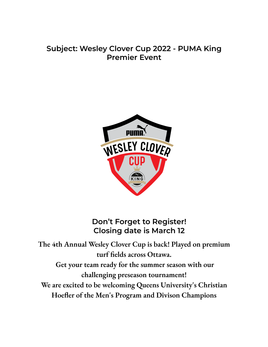# **Subject: Wesley Clover Cup 2022 - PUMA King Premier Event**



**Don't Forget to Register! Closing date is March 12**

**The 4th Annual Wesley Clover Cup is back! Played on premium turf fields across Ottawa. Get your team ready for the summer season with our challenging preseason tournament! We are excited to be welcoming Queens University's Christian Hoefler of the Men's Program and Divison Champions**